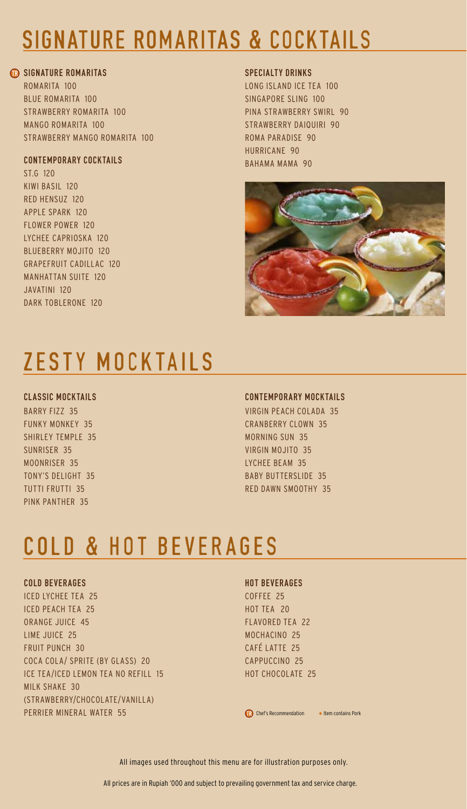## signature romaritas & cocktails

## **R SIGNATURE ROMARITAS**

Romarita 100 Blue RomaritA 100 Strawberry Romarita 100 Mango Romarita 100 Strawberry Mango Romarita 100

## contemporary cocktails

St.G 120 Kiwi Basil 120 Red Hensuz 120 Apple Spark 120 Flower Power 120 Lychee Caprioska 120 Blueberry Mojito 120 Grapefruit Cadillac 120 Manhattan Suite 120 Javatini 120 Dark Toblerone 120

## SPECIALTY DRINKS

Long Island Ice Tea 100 Singapore Sling 100 Pina Strawberry Swirl 90 Strawberry Daiquiri 90 Roma Paradise 90 Hurricane 90 BAHAMA MAMA 90



# ZESTY mock tails

## CLASSIC Mocktails

Barry Fizz 35 Funky Monkey 35 SHIRLEY TEMPLE 35 SUNRISER 35 Moonriser 35 Tony's Delight 35 Tutti Frutti 35 Pink PantheR 35

## contemporary Mocktails

Virgin Peach Colada 35 Cranberry Clown 35 Morning Sun 35 Virgin Mojito 35 Lychee Beam 35 Baby Butterslide 35 Red Dawn Smoothy 35

# COLD & HOT BEVERAGES

## COLD BEVERAGES

ICED LYCHEE TEA 25 ICED PEACH TEA 25 Orange Juice 45 Lime Juice 25 FRUIT PUNCH 30 Coca Cola/ Sprite (by Glass) 20 Ice Tea/Iced Lemon Tea No Refill 15 Milk Shake 30 (Strawberry/Chocolate/Vanilla) Perrier Mineral Water 55

#### HOT BEVERAGES

Coffee 25 HOT TEA 20 Flavored Tea 22 Mochacino 25 Café Latte 25 Cappuccino 25 Hot Chocolate 25

Chef's Recommendation \* Item contains Pork

All images used throughout this menu are for illustration purposes only.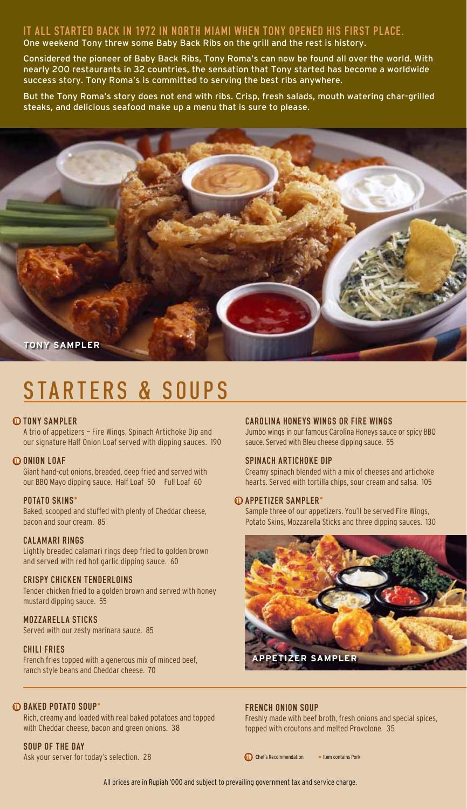## IT ALL STARTED BACK IN 1972 IN NORTH MIAMI WHEN TONY OPENED HIS FIRST PLACE. One weekend Tony threw some Baby Back Ribs on the grill and the rest is history.

Considered the pioneer of Baby Back Ribs, Tony Roma's can now be found all over the world. With nearly 200 restaurants in 32 countries, the sensation that Tony started has become a worldwide success story. Tony Roma's is committed to serving the best ribs anywhere.

But the Tony Roma's story does not end with ribs. Crisp, fresh salads, mouth watering char-grilled steaks, and delicious seafood make up a menu that is sure to please.



# STARTERS & SOUPS

## *C***D TONY SAMPLER**

A trio of appetizers — Fire Wings, Spinach Artichoke Dip and our signature Half Onion Loaf served with dipping sauces. 190

#### **CO ONION LOAF**

Giant hand-cut onions, breaded, deep fried and served with our BBQ Mayo dipping sauce. Half Loaf 50 Full Loaf 60

#### POTATO SKINS\*

Baked, scooped and stuffed with plenty of Cheddar cheese, bacon and sour cream. 85

#### calamari rings

Lightly breaded calamari rings deep fried to golden brown and served with red hot garlic dipping sauce. 60

### Crispy Chicken Tenderloins

Tender chicken fried to a golden brown and served with honey mustard dipping sauce. 55

### MOZZARELLA STICKS

Served with our zesty marinara sauce. 85

#### CHILI FRIES

French fries topped with a generous mix of minced beef, ranch style beans and Cheddar cheese. 70

#### **BAKED POTATO SOUP\***

Rich, creamy and loaded with real baked potatoes and topped with Cheddar cheese, bacon and green onions. 38

SOUP OF THE DAY Ask your server for today's selection. 28

#### carolina honeys wings or Fire wings

Jumbo wings in our famous Carolina Honeys sauce or spicy BBQ sauce. Served with Bleu cheese dipping sauce. 55

#### spinach artichoke dip

Creamy spinach blended with a mix of cheeses and artichoke hearts. Served with tortilla chips, sour cream and salsa. 105

## **<sup><sup>O</sup>**</sub> APPETIZER SAMPLER<sup>\*</sup></sup>

Sample three of our appetizers. You'll be served Fire Wings, Potato Skins, Mozzarella Sticks and three dipping sauces. 130



#### FRENCH ONION SOUP

Freshly made with beef broth, fresh onions and special spices, topped with croutons and melted Provolone. 35

 $\bigcap$  Chef's Recommendation  $*$  Item contains Pork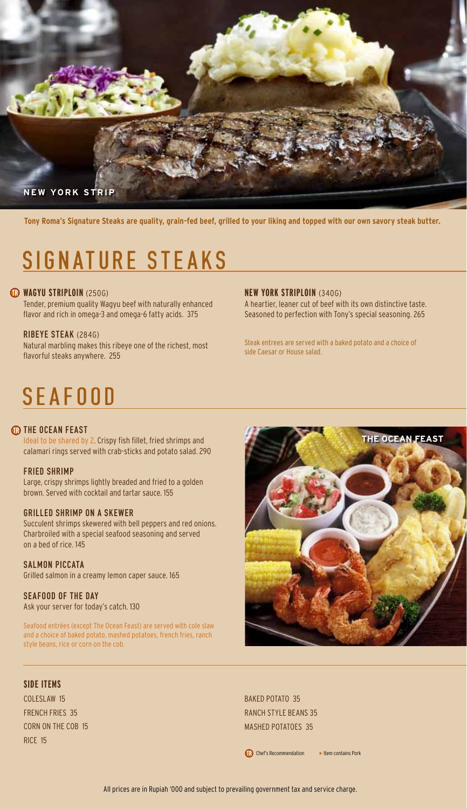

**Tony Roma's Signature Steaks are quality, grain-fed beef, grilled to your liking and topped with our own savory steak butter.** 

## SIGNATURE STEAKS

## **WAGYU STRIPLOIN** (250G)

Tender, premium quality Wagyu beef with naturally enhanced flavor and rich in omega-3 and omega-6 fatty acids. 375

#### ribeye steak (284g)

Natural marbling makes this ribeye one of the richest, most flavorful steaks anywhere. 255

#### **new york striploin** (340g)

A heartier, leaner cut of beef with its own distinctive taste. Seasoned to perfection with Tony's special seasoning. 265

Steak entrees are served with a baked potato and a choice of side Caesar or House salad.

## SEAFOOD

## **THE OCEAN FEAST**

Ideal to be shared by 2. Crispy fish fillet, fried shrimps and calamari rings served with crab-sticks and potato salad. 290

#### fried SHRIMP

Large, crispy shrimps lightly breaded and fried to a golden brown. Served with cocktail and tartar sauce. 155

#### grilled SHRIMP on a skewer

Succulent shrimps skewered with bell peppers and red onions. Charbroiled with a special seafood seasoning and served on a bed of rice. 145

## SALMON PICCATA

Grilled salmon in a creamy lemon caper sauce. 165

#### SEAFOOD OF THE DAY

Ask your server for today's catch. 130

Seafood entrées (except The Ocean Feast) are served with cole slaw and a choice of baked potato, mashed potatoes, french fries, ranch style beans, rice or corn on the cob.



BAKED POTATO 35 Ranch Style Beans 35 MASHED POTATOES 35

Chef's Recommendation \* Item contains Pork

**SIDE ITEMS** 

Coleslaw 15 French Fries 35 Corn on the Cob 15 Rice 15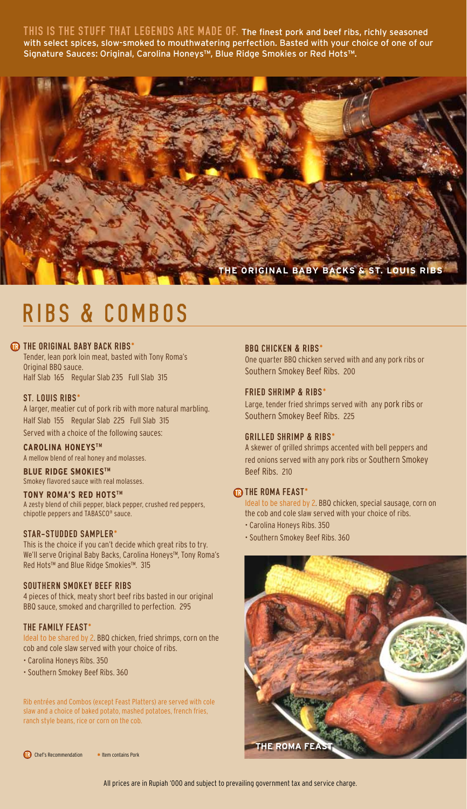THIS IS THE STUFF THAT LEGENDS ARE MADE OF. The finest pork and beef ribs, richly seasoned with select spices, slow-smoked to mouthwatering perfection. Basted with your choice of one of our Signature Sauces: Original, Carolina Honeys™, Blue Ridge Smokies or Red Hots™.



## RIBS & COMBOS

## **THE ORIGINAL BABY BACK RIBS\***

Tender, lean pork loin meat, basted with Tony Roma's Original BBQ sauce. Half Slab 165 Regular Slab 235 Full Slab 315

### ST. LOUIS RIBS\*

A larger, meatier cut of pork rib with more natural marbling. Half Slab 155 Regular Slab 225 Full Slab 315 Served with a choice of the following sauces:

#### **Carolina Honeystm**

A mellow blend of real honey and molasses.

#### **Blue Ridge Smokiestm** Smokey flavored sauce with real molasses.

## **Tony Roma's Red Hotstm**

A zesty blend of chili pepper, black pepper, crushed red peppers, chipotle peppers and TABASCO® sauce.

#### star-studded sampler\*

This is the choice if you can't decide which great ribs to try. We'll serve Original Baby Backs, Carolina Honeys™, Tony Roma's Red Hots™ and Blue Ridge Smokies™. 315

#### SOUTHERN SMOKEY beef ribs

4 pieces of thick, meaty short beef ribs basted in our original BBQ sauce, smoked and chargrilled to perfection. 295

#### THE FAMILY FEAST\*

Ideal to be shared by 2. BBQ chicken, fried shrimps, corn on the cob and cole slaw served with your choice of ribs.

- Carolina Honeys Ribs. 350
- Southern Smokey Beef Ribs. 360

Rib entrées and Combos (except Feast Platters) are served with cole slaw and a choice of baked potato, mashed potatoes, french fries, ranch style beans, rice or corn on the cob.

Chef's Recommendation # Item contains Pork

#### BBQ Chicken & Ribs\*

One quarter BBQ chicken served with and any pork ribs or Southern Smokey Beef Ribs. 200

#### FRIED SHRIMP & Ribs\*

Large, tender fried shrimps served with any pork ribs or Southern Smokey Beef Ribs. 225

#### GRILLED SHRIMP & Ribs\*

A skewer of grilled shrimps accented with bell peppers and red onions served with any pork ribs or Southern Smokey Beef Ribs. 210

#### **THE ROMA FEAST\***

Ideal to be shared by 2. BBQ chicken, special sausage, corn on the cob and cole slaw served with your choice of ribs.

- Carolina Honeys Ribs. 350
- Southern Smokey Beef Ribs. 360

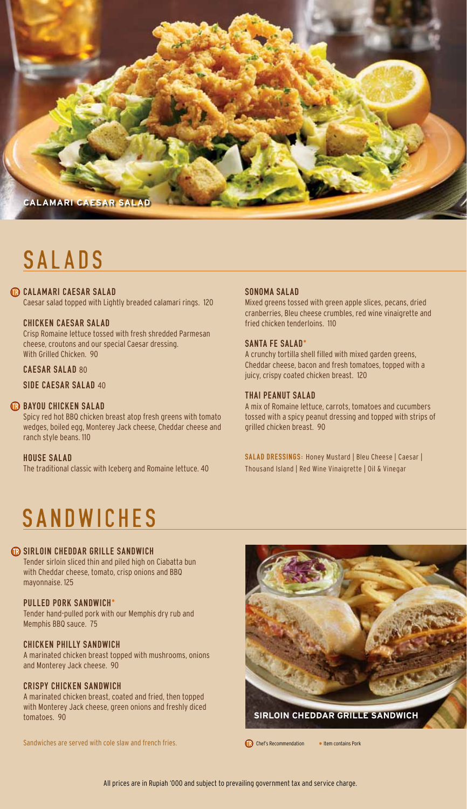

## SALADS

## **CR CALAMARI CAESAR SALAD**

Caesar salad topped with Lightly breaded calamari rings. 120

## chicken Caesar salad

Crisp Romaine lettuce tossed with fresh shredded Parmesan cheese, croutons and our special Caesar dressing. With Grilled Chicken. 90

#### CAESAR SALAD 80

SIDE CAESAR SALAD 40

## **BAYOU CHICKEN SALAD**

Spicy red hot BBQ chicken breast atop fresh greens with tomato wedges, boiled egg, Monterey Jack cheese, Cheddar cheese and ranch style beans. 110

#### house salad

The traditional classic with Iceberg and Romaine lettuce. 40

#### sonoma SALAD

Mixed greens tossed with green apple slices, pecans, dried cranberries, Bleu cheese crumbles, red wine vinaigrette and fried chicken tenderloins. 110

#### SANTA FE SALAD\*

A crunchy tortilla shell filled with mixed garden greens, Cheddar cheese, bacon and fresh tomatoes, topped with a juicy, crispy coated chicken breast. 120

#### THAI PEANUT SALAD

A mix of Romaine lettuce, carrots, tomatoes and cucumbers tossed with a spicy peanut dressing and topped with strips of grilled chicken breast. 90

SALAD DRESSINGS: Honey Mustard | Bleu Cheese | Caesar | Thousand Island | Red Wine Vinaigrette | Oil & Vinegar

## **SANDWICHES**

#### **B** SIRLOIN CHEDDAR GRILLE SANDWICH

Tender sirloin sliced thin and piled high on Ciabatta bun with Cheddar cheese, tomato, crisp onions and BBQ mayonnaise. 125

## Pulled pork sandwich\*

Tender hand-pulled pork with our Memphis dry rub and Memphis BBQ sauce. 75

#### chicken philly sandwich

A marinated chicken breast topped with mushrooms, onions and Monterey Jack cheese. 90

#### crispy chicken sandwich

A marinated chicken breast, coated and fried, then topped with Monterey Jack cheese, green onions and freshly diced tomatoes. 90

Sandwiches are served with cole slaw and french fries.



Chef's Recommendation # Item contains Pork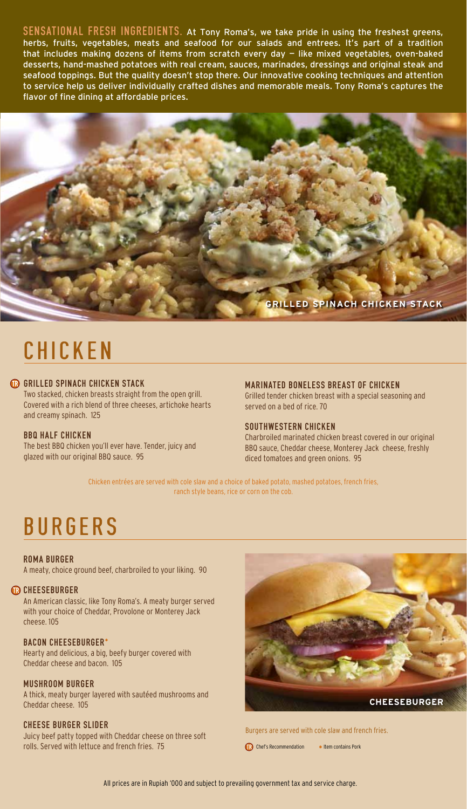SENSATIONAL FRESH INGREDIENTS. At Tony Roma's, we take pride in using the freshest greens, herbs, fruits, vegetables, meats and seafood for our salads and entrees. It's part of a tradition that includes making dozens of items from scratch every day — like mixed vegetables, oven-baked desserts, hand-mashed potatoes with real cream, sauces, marinades, dressings and original steak and seafood toppings. But the quality doesn't stop there. Our innovative cooking techniques and attention to service help us deliver individually crafted dishes and memorable meals. Tony Roma's captures the flavor of fine dining at affordable prices.



# **CHICKEN**

## GRILLED SPINACH CHICKEN STACK

Two stacked, chicken breasts straight from the open grill. Covered with a rich blend of three cheeses, artichoke hearts and creamy spinach. 125

## **BBQ HALF CHICKEN**

The best BBQ chicken you'll ever have. Tender, juicy and glazed with our original BBQ sauce. 95

#### marinated boneless breast of chicken

Grilled tender chicken breast with a special seasoning and served on a bed of rice. 70

#### SOUTHWESTERN CHICKEN

Charbroiled marinated chicken breast covered in our original BBQ sauce, Cheddar cheese, Monterey Jack cheese, freshly diced tomatoes and green onions. 95

Chicken entrées are served with cole slaw and a choice of baked potato, mashed potatoes, french fries, ranch style beans, rice or corn on the cob.

## **BURGERS**

#### roma burger

A meaty, choice ground beef, charbroiled to your liking. 90

#### **B** CHEESEBURGER cheeseburger

An American classic, like Tony Roma's. A meaty burger served with your choice of Cheddar, Provolone or Monterey Jack cheese. 105

## bacon cheeseburger\*

Hearty and delicious, a big, beefy burger covered with Cheddar cheese and bacon. 105

## mushroom burger

A thick, meaty burger layered with sautéed mushrooms and Cheddar cheese. 105

## cheese burger slider

Juicy beef patty topped with Cheddar cheese on three soft rolls. Served with lettuce and french fries. 75



Burgers are served with cole slaw and french fries.

Chef's Recommendation # Item contains Pork